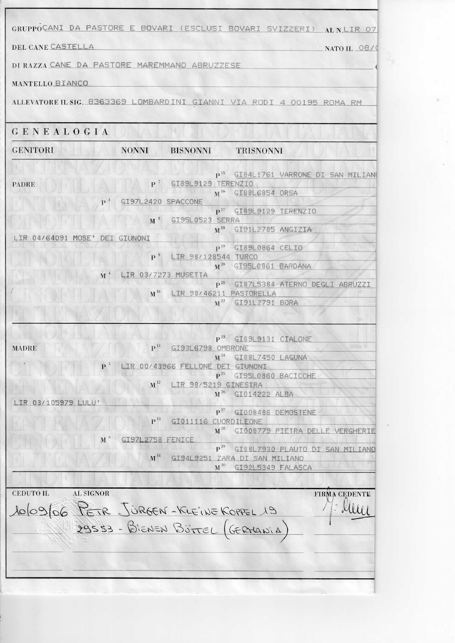|                                              |                           |                                           | GRUPPOCANI DA PASTORE E BOVARI (ESCLUSI BOVARI SVIZZERI) ALNLIR 07        |
|----------------------------------------------|---------------------------|-------------------------------------------|---------------------------------------------------------------------------|
| DEL CANE CASTELLA                            |                           |                                           | NATO IL $08/$                                                             |
| DI RAZZA CANE DA PASTORE MAREMMANO ABRUZZESE |                           |                                           |                                                                           |
| MANTELLO BIANCO                              |                           |                                           |                                                                           |
|                                              |                           |                                           | ALLEVATORE IL SIG. 8363369 LOMBARDINI GIANNI VIA RODI 4 00195 ROMA RM     |
|                                              |                           |                                           |                                                                           |
| GENEALOGIA                                   |                           |                                           |                                                                           |
| <b>GENITORI</b>                              | <b>NONNI</b>              | <b>BISNONNI</b>                           | <b>TRISNONNI</b>                                                          |
|                                              |                           |                                           | P <sup>15</sup> GI84L1761 VARRONE DI SAN MILIAN                           |
| <b>PADRE</b>                                 | $\mathbf{P}$ <sup>7</sup> |                                           | GI89L9129 TERENZIO<br>M <sup>16</sup> GI88L6854 ORSA                      |
| $\mathbf{P}^{-3}$                            | GI97L2420 SPACCONE        |                                           |                                                                           |
|                                              | $\,$ M $^{\,3}$           | <u>an de la p</u><br>GI95L0523 SERRA      | $P^{17}$ GI89L9129 TERENZIO                                               |
| IR 04/64091<br>MOSE <sup>1</sup>             | DEI GIUNONI               |                                           | M <sup>18</sup> GI91L2785 ANGIZIA                                         |
|                                              |                           |                                           | $P^{19}$<br>GI89L0864 CELIO                                               |
|                                              | $P^9$                     | LIR 98/128544 TURCO                       | $\mathbf{M}^{20}$<br>GI95L0861 BARDANA                                    |
| M                                            |                           | LIR 03/7273 MUSETTA                       |                                                                           |
|                                              | $\mathbf{M}^{10}$         |                                           | p <sup>21</sup> GI87L5384 ATERNO DEGLI ABRUZZI<br>LIR 98/46211 PASTORELLA |
|                                              |                           | $\mathbf{M}^{22}$                         | GI91L2791 BORA                                                            |
|                                              |                           |                                           |                                                                           |
|                                              |                           |                                           | $P^{23}$ GI89L9131 CIALONE                                                |
| <b>MADRE</b>                                 | P <sup>11</sup>           | GI93L6798 OMBRONE<br>$\mathbf{M}^{24}$    | $c \rightarrow c$<br>GI88L7450 LAGUNA                                     |
|                                              |                           | LIR 00/43966 FELLONE DEI                  |                                                                           |
|                                              | $M^{12}$                  | $\mathbf{p}^{25}$<br>LIR 98/5219 GINESTRA | GI95L0860 BACICCHE                                                        |
|                                              |                           | $M^{26}$                                  | GI014222 ALBA                                                             |
| LIR 03/105979 LULU                           |                           | $\mathbf{P}^{27}$                         | GI008486 DEMOSTENE                                                        |
|                                              | $\mathbf{P}^{\,13}$       | GI011116 CUORDILEONE                      |                                                                           |
| $\mathbf{M}$ <sup>6</sup>                    | GI97L2758 FENICE          | $M^{28}$                                  | GI008779 PIETRA DELLE VERGHERIE                                           |
|                                              | $M^{14}$                  | $\mathbf{P}^{29}$                         | GI88L7930 PLAUTO DI SAN MILIANO                                           |
|                                              |                           | $\mathbf{M}^{30}$                         | GI94L9251 ZARA DI SAN MILIANO<br>GI92L5349 FALASCA                        |
|                                              |                           |                                           |                                                                           |
| <b>CEDUTO IL</b><br><b>AL SIGNOR</b>         |                           |                                           | <b>FIRMA CEDENTE</b>                                                      |
|                                              |                           |                                           | $\Omega$                                                                  |
| 10/09/06 PETR JÜRGEN-KLEINE KOPPEL 19        |                           |                                           |                                                                           |
|                                              |                           |                                           |                                                                           |
|                                              |                           |                                           |                                                                           |
|                                              |                           |                                           |                                                                           |
|                                              |                           |                                           |                                                                           |
|                                              |                           |                                           |                                                                           |
|                                              |                           |                                           |                                                                           |